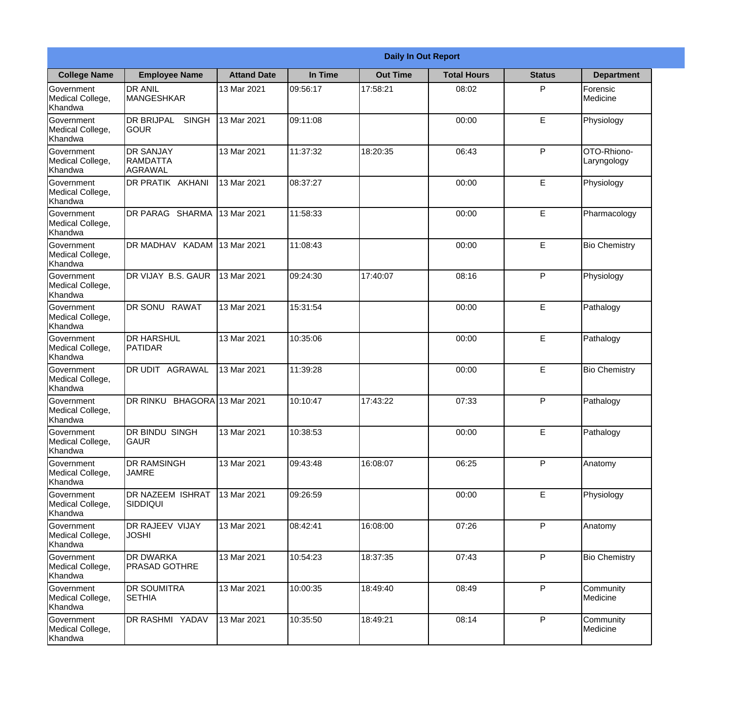|                                                  |                                                |                     |          | <b>Daily In Out Report</b> |                    |               |                            |
|--------------------------------------------------|------------------------------------------------|---------------------|----------|----------------------------|--------------------|---------------|----------------------------|
| <b>College Name</b>                              | <b>Employee Name</b>                           | <b>Attand Date</b>  | In Time  | <b>Out Time</b>            | <b>Total Hours</b> | <b>Status</b> | <b>Department</b>          |
| Government<br>Medical College,<br>Khandwa        | <b>DR ANIL</b><br><b>MANGESHKAR</b>            | 13 Mar 2021         | 09:56:17 | 17:58:21                   | 08:02              | P             | Forensic<br>Medicine       |
| Government<br>Medical College,<br>Khandwa        | <b>DR BRIJPAL</b><br><b>SINGH</b><br> GOUR     | 13 Mar 2021         | 09:11:08 |                            | 00:00              | E             | Physiology                 |
| <b>Government</b><br>Medical College,<br>Khandwa | <b>DR SANJAY</b><br><b>RAMDATTA</b><br>AGRAWAL | 13 Mar 2021         | 11:37:32 | 18:20:35                   | 06:43              | P             | OTO-Rhiono-<br>Laryngology |
| <b>Government</b><br>Medical College,<br>Khandwa | <b>DR PRATIK AKHANI</b>                        | 13 Mar 2021         | 08:37:27 |                            | 00:00              | E             | Physiology                 |
| Government<br>Medical College,<br>Khandwa        | DR PARAG SHARMA                                | 13 Mar 2021         | 11:58:33 |                            | 00:00              | E             | Pharmacology               |
| Government<br>Medical College,<br>Khandwa        | <b>IDR MADHAV KADAM</b>                        | 13 Mar 2021         | 11:08:43 |                            | 00:00              | $\mathsf E$   | <b>Bio Chemistry</b>       |
| <b>Government</b><br>Medical College,<br>Khandwa | DR VIJAY B.S. GAUR                             | 13 Mar 2021         | 09:24:30 | 17:40:07                   | 08:16              | P             | Physiology                 |
| <b>Government</b><br>Medical College,<br>Khandwa | DR SONU RAWAT                                  | 13 Mar 2021         | 15:31:54 |                            | 00:00              | E             | Pathalogy                  |
| Government<br>Medical College,<br>Khandwa        | <b>DR HARSHUL</b><br><b>PATIDAR</b>            | 13 Mar 2021         | 10:35:06 |                            | 00:00              | E             | Pathalogy                  |
| Government<br>Medical College,<br>Khandwa        | DR UDIT AGRAWAL                                | 13 Mar 2021         | 11:39:28 |                            | 00:00              | $\mathsf E$   | <b>Bio Chemistry</b>       |
| Government<br>Medical College,<br>Khandwa        | <b>DR RINKU</b>                                | BHAGORA 13 Mar 2021 | 10:10:47 | 17:43:22                   | 07:33              | P             | Pathalogy                  |
| Government<br>Medical College,<br>Khandwa        | <b>DR BINDU SINGH</b><br><b>GAUR</b>           | 13 Mar 2021         | 10:38:53 |                            | 00:00              | E             | Pathalogy                  |
| Government<br>Medical College,<br>Khandwa        | <b>DR RAMSINGH</b><br><b>JAMRE</b>             | 13 Mar 2021         | 09:43:48 | 16:08:07                   | 06:25              | P             | Anatomy                    |
| Government<br>Medical College,<br>Khandwa        | <b>DR NAZEEM ISHRAT</b><br><b>SIDDIQUI</b>     | 13 Mar 2021         | 09:26:59 |                            | 00:00              | $\mathsf E$   | Physiology                 |
| Government<br>Medical College,<br>Khandwa        | <b>DR RAJEEV VIJAY</b><br><b>JOSHI</b>         | 13 Mar 2021         | 08:42:41 | 16:08:00                   | 07:26              | $\mathsf{P}$  | Anatomy                    |
| Government<br>Medical College,<br>Khandwa        | <b>DR DWARKA</b><br><b>PRASAD GOTHRE</b>       | 13 Mar 2021         | 10:54:23 | 18:37:35                   | 07:43              | P             | <b>Bio Chemistry</b>       |
| Government<br>Medical College,<br>Khandwa        | <b>DR SOUMITRA</b><br><b>SETHIA</b>            | 13 Mar 2021         | 10:00:35 | 18:49:40                   | 08:49              | P             | Community<br>Medicine      |
| Government<br>Medical College,<br>Khandwa        | <b>DR RASHMI YADAV</b>                         | 13 Mar 2021         | 10:35:50 | 18:49:21                   | 08:14              | P             | Community<br>Medicine      |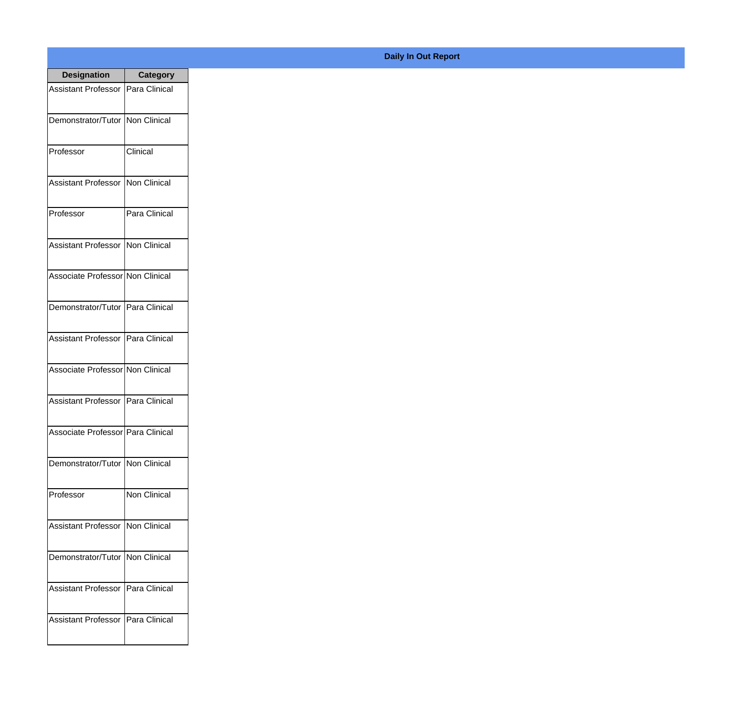| <b>Designation</b>                  | <b>Category</b>     |
|-------------------------------------|---------------------|
| Assistant Professor   Para Clinical |                     |
| Demonstrator/Tutor   Non Clinical   |                     |
| Professor                           | Clinical            |
| <b>Assistant Professor</b>          | Non Clinical        |
| Professor                           | Para Clinical       |
| Assistant Professor   Non Clinical  |                     |
| Associate Professor Non Clinical    |                     |
| Demonstrator/Tutor   Para Clinical  |                     |
| Assistant Professor   Para Clinical |                     |
| Associate Professor Non Clinical    |                     |
| <b>Assistant Professor</b>          | Para Clinical       |
| Associate Professor Para Clinical   |                     |
| Demonstrator/Tutor   Non Clinical   |                     |
| Professor                           | <b>Non Clinical</b> |
| Assistant Professor   Non Clinical  |                     |
| Demonstrator/Tutor   Non Clinical   |                     |
| <b>Assistant Professor</b>          | Para Clinical       |
| Assistant Professor   Para Clinical |                     |

## **Daily In Out Report**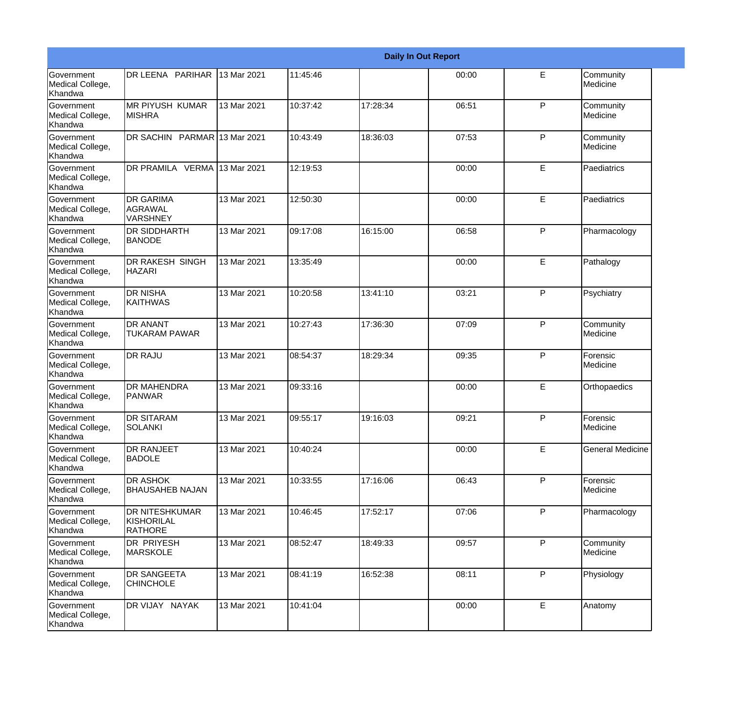|                                                  |                                                       |             |          |          | <b>Daily In Out Report</b> |              |                         |
|--------------------------------------------------|-------------------------------------------------------|-------------|----------|----------|----------------------------|--------------|-------------------------|
| Government<br>Medical College,<br>Khandwa        | DR LEENA PARIHAR                                      | 13 Mar 2021 | 11:45:46 |          | 00:00                      | E            | Community<br>Medicine   |
| <b>Government</b><br>Medical College,<br>Khandwa | <b>MR PIYUSH KUMAR</b><br><b>MISHRA</b>               | 13 Mar 2021 | 10:37:42 | 17:28:34 | 06:51                      | $\mathsf{P}$ | Community<br>Medicine   |
| <b>Government</b><br>Medical College,<br>Khandwa | DR SACHIN PARMAR 13 Mar 2021                          |             | 10:43:49 | 18:36:03 | 07:53                      | P            | Community<br>Medicine   |
| <b>Government</b><br>Medical College,<br>Khandwa | DR PRAMILA VERMA 13 Mar 2021                          |             | 12:19:53 |          | 00:00                      | E            | Paediatrics             |
| <b>Government</b><br>Medical College,<br>Khandwa | <b>DR GARIMA</b><br><b>AGRAWAL</b><br><b>VARSHNEY</b> | 13 Mar 2021 | 12:50:30 |          | 00:00                      | E            | Paediatrics             |
| <b>Government</b><br>Medical College,<br>Khandwa | <b>DR SIDDHARTH</b><br><b>BANODE</b>                  | 13 Mar 2021 | 09:17:08 | 16:15:00 | 06:58                      | $\mathsf{P}$ | Pharmacology            |
| Government<br>Medical College,<br>Khandwa        | <b>DR RAKESH SINGH</b><br><b>HAZARI</b>               | 13 Mar 2021 | 13:35:49 |          | 00:00                      | E            | Pathalogy               |
| Government<br>Medical College,<br>Khandwa        | <b>DR NISHA</b><br><b>KAITHWAS</b>                    | 13 Mar 2021 | 10:20:58 | 13:41:10 | 03:21                      | $\mathsf{P}$ | Psychiatry              |
| Government<br>Medical College,<br>Khandwa        | <b>DR ANANT</b><br><b>TUKARAM PAWAR</b>               | 13 Mar 2021 | 10:27:43 | 17:36:30 | 07:09                      | $\mathsf{P}$ | Community<br>Medicine   |
| <b>Government</b><br>Medical College,<br>Khandwa | <b>DR RAJU</b>                                        | 13 Mar 2021 | 08:54:37 | 18:29:34 | 09:35                      | P            | Forensic<br>Medicine    |
| <b>Government</b><br>Medical College,<br>Khandwa | <b>DR MAHENDRA</b><br><b>PANWAR</b>                   | 13 Mar 2021 | 09:33:16 |          | 00:00                      | E            | Orthopaedics            |
| Government<br>Medical College,<br>Khandwa        | <b>DR SITARAM</b><br>SOLANKI                          | 13 Mar 2021 | 09:55:17 | 19:16:03 | 09:21                      | P            | Forensic<br>Medicine    |
| <b>Government</b><br>Medical College,<br>Khandwa | <b>DR RANJEET</b><br><b>BADOLE</b>                    | 13 Mar 2021 | 10:40:24 |          | 00:00                      | E            | <b>General Medicine</b> |
| Government<br>Medical College,<br>Khandwa        | <b>DR ASHOK</b><br><b>BHAUSAHEB NAJAN</b>             | 13 Mar 2021 | 10:33:55 | 17:16:06 | 06:43                      | $\mathsf{P}$ | Forensic<br>Medicine    |
| Government<br>Medical College,<br>Khandwa        | <b>DR NITESHKUMAR</b><br>KISHORILAL<br><b>RATHORE</b> | 13 Mar 2021 | 10:46:45 | 17:52:17 | 07:06                      | P            | Pharmacology            |
| Government<br>Medical College,<br>Khandwa        | <b>DR PRIYESH</b><br><b>MARSKOLE</b>                  | 13 Mar 2021 | 08:52:47 | 18:49:33 | 09:57                      | P            | Community<br>Medicine   |
| Government<br>Medical College,<br>Khandwa        | <b>DR SANGEETA</b><br><b>CHINCHOLE</b>                | 13 Mar 2021 | 08:41:19 | 16:52:38 | 08:11                      | P            | Physiology              |
| Government<br>Medical College,<br>Khandwa        | DR VIJAY NAYAK                                        | 13 Mar 2021 | 10:41:04 |          | 00:00                      | $\mathsf E$  | Anatomy                 |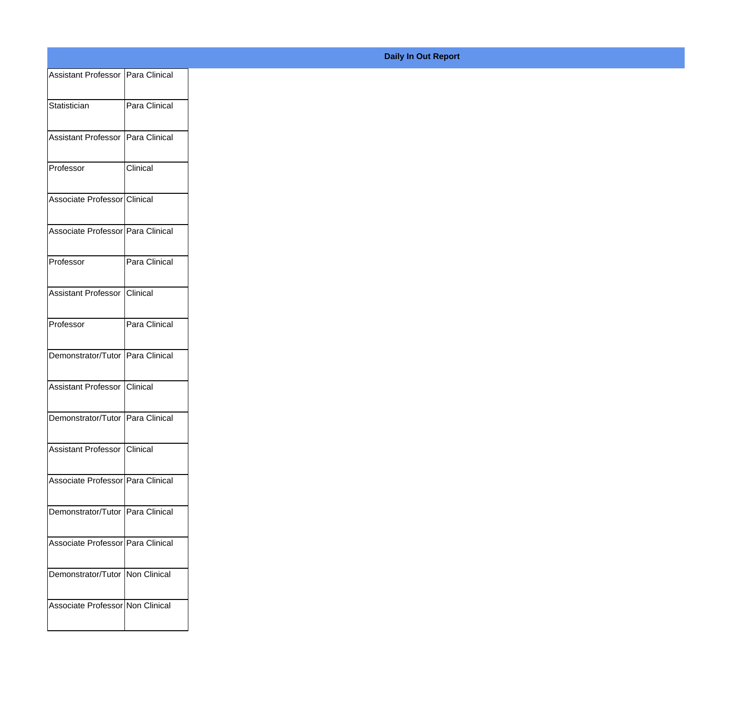| Assistant Professor Para Clinical  |               |
|------------------------------------|---------------|
| Statistician                       | Para Clinical |
|                                    |               |
| Assistant Professor Para Clinical  |               |
| Professor                          | Clinical      |
|                                    |               |
| Associate Professor Clinical       |               |
| Associate Professor Para Clinical  |               |
| Professor                          | Para Clinical |
|                                    |               |
| Assistant Professor Clinical       |               |
| Professor                          | Para Clinical |
|                                    |               |
| Demonstrator/Tutor Para Clinical   |               |
| Assistant Professor Clinical       |               |
| Demonstrator/Tutor Para Clinical   |               |
|                                    |               |
| Assistant Professor Clinical       |               |
| Associate Professor Para Clinical  |               |
| Demonstrator/Tutor   Para Clinical |               |
|                                    |               |
| Associate Professor Para Clinical  |               |
| Demonstrator/Tutor   Non Clinical  |               |
| Associate Professor Non Clinical   |               |
|                                    |               |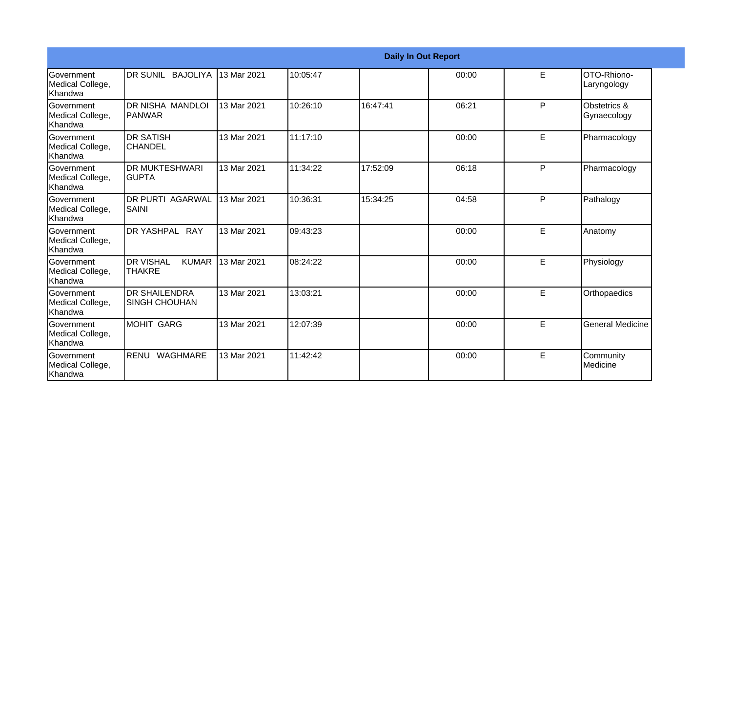|                                                  |                                                   |             |          |          | <b>Daily In Out Report</b> |    |                                        |
|--------------------------------------------------|---------------------------------------------------|-------------|----------|----------|----------------------------|----|----------------------------------------|
| Government<br>Medical College,<br><b>Khandwa</b> | <b>DR SUNIL BAJOLIYA</b>                          | 13 Mar 2021 | 10:05:47 |          | 00:00                      | E  | OTO-Rhiono-<br>Laryngology             |
| Government<br>Medical College,<br>Khandwa        | DR NISHA MANDLOI<br><b>IPANWAR</b>                | 13 Mar 2021 | 10:26:10 | 16:47:41 | 06:21                      | P  | <b>Obstetrics &amp;</b><br>Gynaecology |
| <b>Government</b><br>Medical College,<br>Khandwa | <b>DR SATISH</b><br><b>CHANDEL</b>                | 13 Mar 2021 | 11:17:10 |          | 00:00                      | E  | Pharmacology                           |
| Government<br>Medical College,<br>Khandwa        | <b>DR MUKTESHWARI</b><br><b>GUPTA</b>             | 13 Mar 2021 | 11:34:22 | 17:52:09 | 06:18                      | P  | Pharmacology                           |
| <b>Government</b><br>Medical College,<br>Khandwa | <b>DR PURTI AGARWAL</b><br><b>SAINI</b>           | 13 Mar 2021 | 10:36:31 | 15:34:25 | 04:58                      | P  | Pathalogy                              |
| <b>Government</b><br>Medical College,<br>Khandwa | DR YASHPAL RAY                                    | 13 Mar 2021 | 09:43:23 |          | 00:00                      | E. | Anatomy                                |
| Government<br>Medical College,<br><b>Khandwa</b> | <b>DR VISHAL</b><br><b>KUMAR</b><br><b>THAKRE</b> | 13 Mar 2021 | 08:24:22 |          | 00:00                      | E. | Physiology                             |
| Government<br>Medical College,<br>Khandwa        | <b>DR SHAILENDRA</b><br><b>SINGH CHOUHAN</b>      | 13 Mar 2021 | 13:03:21 |          | 00:00                      | E. | Orthopaedics                           |
| Government<br>Medical College,<br>Khandwa        | <b>MOHIT GARG</b>                                 | 13 Mar 2021 | 12:07:39 |          | 00:00                      | E. | <b>General Medicine</b>                |
| Government<br>Medical College,<br>Khandwa        | RENU WAGHMARE                                     | 13 Mar 2021 | 11:42:42 |          | 00:00                      | E  | Community<br>Medicine                  |